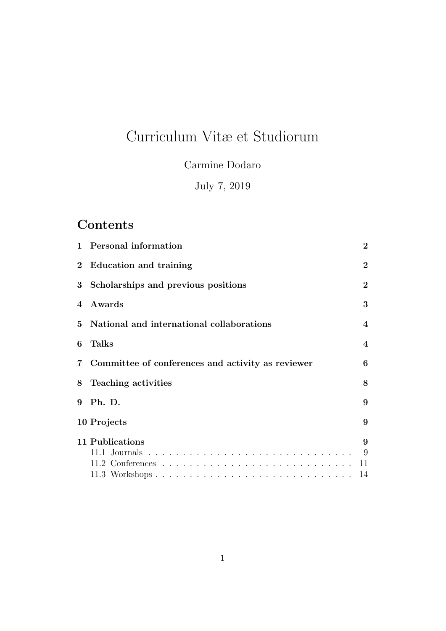# Curriculum Vitæ et Studiorum

Carmine Dodaro

July 7, 2019

## **Contents**

| $\mathbf{1}$ | Personal information                              | $\bf{2}$                |
|--------------|---------------------------------------------------|-------------------------|
|              | 2 Education and training                          | $\overline{2}$          |
| $3^{\circ}$  | Scholarships and previous positions               | $\bf{2}$                |
| 4            | Awards                                            | 3                       |
| 5.           | National and international collaborations         | 4                       |
| 6            | Talks                                             | $\overline{\mathbf{4}}$ |
| 7            | Committee of conferences and activity as reviewer | 6                       |
| 8            | Teaching activities                               | 8                       |
| 9            | Ph. D.                                            | 9                       |
|              | 10 Projects                                       | 9                       |
|              | 11 Publications                                   | 9                       |
|              |                                                   | 9                       |
|              |                                                   | 11                      |
|              |                                                   | 14                      |
|              |                                                   |                         |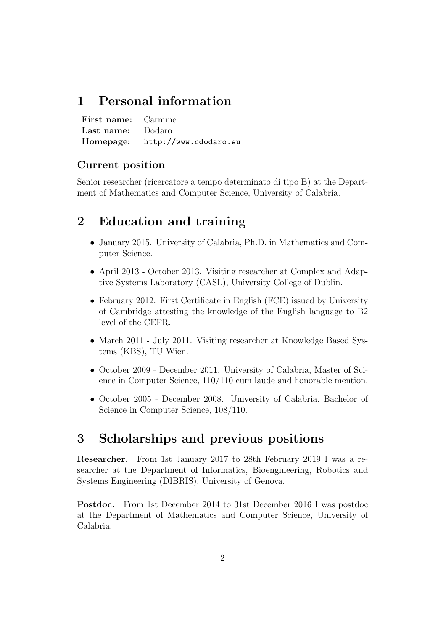## 1 Personal information

First name: Carmine Last name: Dodaro Homepage: http://www.cdodaro.eu

### Current position

Senior researcher (ricercatore a tempo determinato di tipo B) at the Department of Mathematics and Computer Science, University of Calabria.

## 2 Education and training

- January 2015. University of Calabria, Ph.D. in Mathematics and Computer Science.
- April 2013 October 2013. Visiting researcher at Complex and Adaptive Systems Laboratory (CASL), University College of Dublin.
- February 2012. First Certificate in English (FCE) issued by University of Cambridge attesting the knowledge of the English language to B2 level of the CEFR.
- March 2011 July 2011. Visiting researcher at Knowledge Based Systems (KBS), TU Wien.
- October 2009 December 2011. University of Calabria, Master of Science in Computer Science, 110/110 cum laude and honorable mention.
- October 2005 December 2008. University of Calabria, Bachelor of Science in Computer Science, 108/110.

## 3 Scholarships and previous positions

Researcher. From 1st January 2017 to 28th February 2019 I was a researcher at the Department of Informatics, Bioengineering, Robotics and Systems Engineering (DIBRIS), University of Genova.

Postdoc. From 1st December 2014 to 31st December 2016 I was postdoc at the Department of Mathematics and Computer Science, University of Calabria.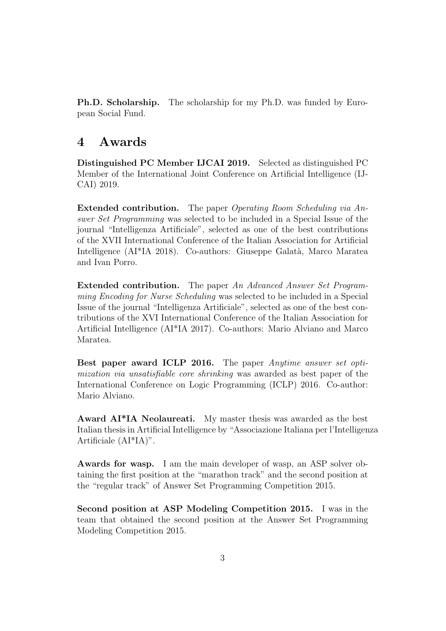Ph.D. Scholarship. The scholarship for my Ph.D. was funded by European Social Fund.

### 4 Awards

Distinguished PC Member IJCAI 2019. Selected as distinguished PC Member of the International Joint Conference on Artificial Intelligence (IJ-CAI) 2019.

Extended contribution. The paper Operating Room Scheduling via Answer Set Programming was selected to be included in a Special Issue of the journal "Intelligenza Artificiale", selected as one of the best contributions of the XVII International Conference of the Italian Association for Artificial Intelligence (AI\*IA 2018). Co-authors: Giuseppe Galatà, Marco Maratea and Ivan Porro.

Extended contribution. The paper An Advanced Answer Set Programming Encoding for Nurse Scheduling was selected to be included in a Special Issue of the journal "Intelligenza Artificiale", selected as one of the best contributions of the XVI International Conference of the Italian Association for Artificial Intelligence (AI\*IA 2017). Co-authors: Mario Alviano and Marco Maratea.

Best paper award ICLP 2016. The paper Anytime answer set optimization via unsatisfiable core shrinking was awarded as best paper of the International Conference on Logic Programming (ICLP) 2016. Co-author: Mario Alviano.

Award AI\*IA Neolaureati. My master thesis was awarded as the best Italian thesis in Artificial Intelligence by "Associazione Italiana per l'Intelligenza Artificiale (AI\*IA)".

Awards for wasp. I am the main developer of wasp, an ASP solver obtaining the first position at the "marathon track" and the second position at the "regular track" of Answer Set Programming Competition 2015.

Second position at ASP Modeling Competition 2015. I was in the team that obtained the second position at the Answer Set Programming Modeling Competition 2015.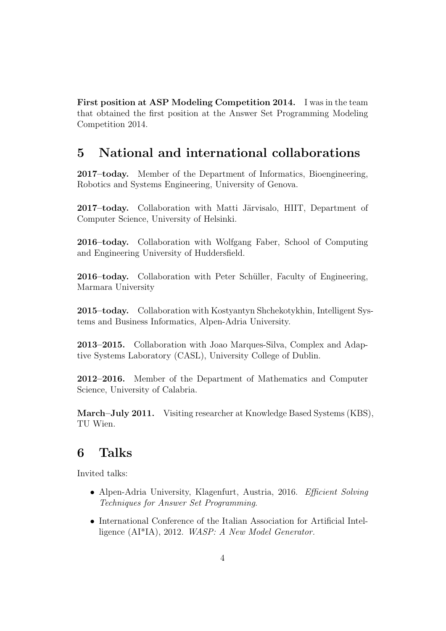First position at ASP Modeling Competition 2014. I was in the team that obtained the first position at the Answer Set Programming Modeling Competition 2014.

## 5 National and international collaborations

2017–today. Member of the Department of Informatics, Bioengineering, Robotics and Systems Engineering, University of Genova.

2017–today. Collaboration with Matti Järvisalo, HIIT, Department of Computer Science, University of Helsinki.

2016–today. Collaboration with Wolfgang Faber, School of Computing and Engineering University of Huddersfield.

2016–today. Collaboration with Peter Schüller, Faculty of Engineering, Marmara University

2015–today. Collaboration with Kostyantyn Shchekotykhin, Intelligent Systems and Business Informatics, Alpen-Adria University.

2013–2015. Collaboration with Joao Marques-Silva, Complex and Adaptive Systems Laboratory (CASL), University College of Dublin.

2012–2016. Member of the Department of Mathematics and Computer Science, University of Calabria.

March–July 2011. Visiting researcher at Knowledge Based Systems (KBS), TU Wien.

## 6 Talks

Invited talks:

- Alpen-Adria University, Klagenfurt, Austria, 2016. Efficient Solving Techniques for Answer Set Programming.
- International Conference of the Italian Association for Artificial Intelligence (AI\*IA), 2012. WASP: A New Model Generator.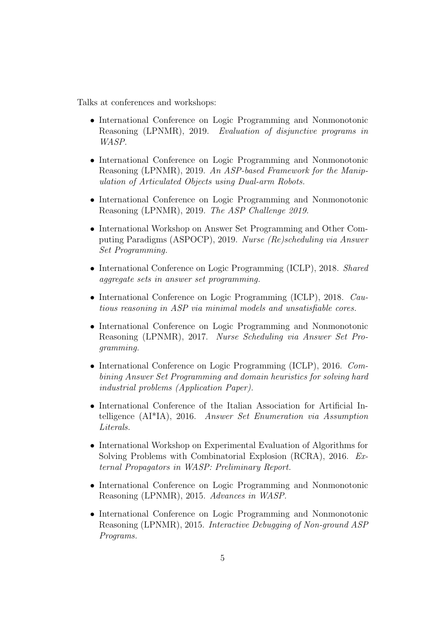Talks at conferences and workshops:

- International Conference on Logic Programming and Nonmonotonic Reasoning (LPNMR), 2019. Evaluation of disjunctive programs in WASP.
- International Conference on Logic Programming and Nonmonotonic Reasoning (LPNMR), 2019. An ASP-based Framework for the Manipulation of Articulated Objects using Dual-arm Robots.
- International Conference on Logic Programming and Nonmonotonic Reasoning (LPNMR), 2019. The ASP Challenge 2019.
- International Workshop on Answer Set Programming and Other Computing Paradigms (ASPOCP), 2019. Nurse (Re)scheduling via Answer Set Programming.
- International Conference on Logic Programming (ICLP), 2018. Shared aggregate sets in answer set programming.
- International Conference on Logic Programming (ICLP), 2018. Cautious reasoning in ASP via minimal models and unsatisfiable cores.
- International Conference on Logic Programming and Nonmonotonic Reasoning (LPNMR), 2017. Nurse Scheduling via Answer Set Programming.
- International Conference on Logic Programming (ICLP), 2016. Combining Answer Set Programming and domain heuristics for solving hard industrial problems (Application Paper).
- International Conference of the Italian Association for Artificial Intelligence (AI\*IA), 2016. Answer Set Enumeration via Assumption Literals.
- International Workshop on Experimental Evaluation of Algorithms for Solving Problems with Combinatorial Explosion (RCRA), 2016. External Propagators in WASP: Preliminary Report.
- International Conference on Logic Programming and Nonmonotonic Reasoning (LPNMR), 2015. Advances in WASP.
- International Conference on Logic Programming and Nonmonotonic Reasoning (LPNMR), 2015. Interactive Debugging of Non-ground ASP Programs.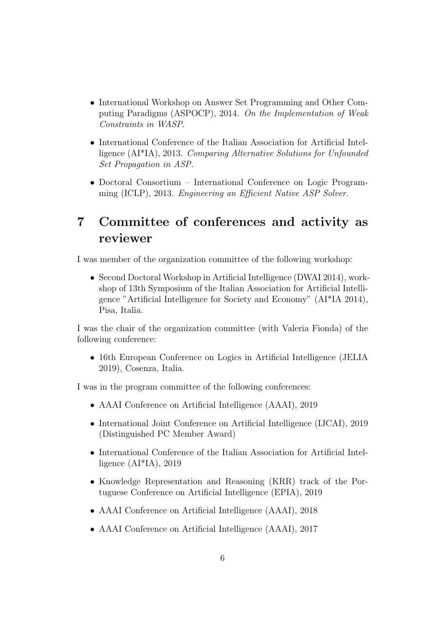- International Workshop on Answer Set Programming and Other Computing Paradigms (ASPOCP), 2014. On the Implementation of Weak Constraints in WASP.
- International Conference of the Italian Association for Artificial Intelligence (AI\*IA), 2013. Comparing Alternative Solutions for Unfounded Set Propagation in ASP.
- Doctoral Consortium International Conference on Logic Programming (ICLP), 2013. Engineering an Efficient Native ASP Solver.

## 7 Committee of conferences and activity as reviewer

I was member of the organization committee of the following workshop:

• Second Doctoral Workshop in Artificial Intelligence (DWAI 2014), workshop of 13th Symposium of the Italian Association for Artificial Intelligence "Artificial Intelligence for Society and Economy" (AI\*IA 2014), Pisa, Italia.

I was the chair of the organization committee (with Valeria Fionda) of the following conference:

• 16th European Conference on Logics in Artificial Intelligence (JELIA 2019), Cosenza, Italia.

I was in the program committee of the following conferences:

- AAAI Conference on Artificial Intelligence (AAAI), 2019
- International Joint Conference on Artificial Intelligence (IJCAI), 2019 (Distinguished PC Member Award)
- International Conference of the Italian Association for Artificial Intelligence  $(AI^*IA)$ , 2019
- Knowledge Representation and Reasoning (KRR) track of the Portuguese Conference on Artificial Intelligence (EPIA), 2019
- AAAI Conference on Artificial Intelligence (AAAI), 2018
- AAAI Conference on Artificial Intelligence (AAAI), 2017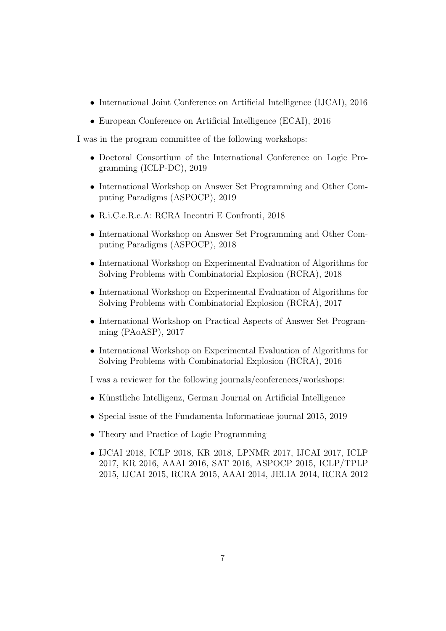- International Joint Conference on Artificial Intelligence (IJCAI), 2016
- European Conference on Artificial Intelligence (ECAI), 2016

I was in the program committee of the following workshops:

- Doctoral Consortium of the International Conference on Logic Programming (ICLP-DC), 2019
- International Workshop on Answer Set Programming and Other Computing Paradigms (ASPOCP), 2019
- R.i.C.e.R.c.A: RCRA Incontri E Confronti, 2018
- International Workshop on Answer Set Programming and Other Computing Paradigms (ASPOCP), 2018
- International Workshop on Experimental Evaluation of Algorithms for Solving Problems with Combinatorial Explosion (RCRA), 2018
- International Workshop on Experimental Evaluation of Algorithms for Solving Problems with Combinatorial Explosion (RCRA), 2017
- International Workshop on Practical Aspects of Answer Set Programming (PAoASP), 2017
- International Workshop on Experimental Evaluation of Algorithms for Solving Problems with Combinatorial Explosion (RCRA), 2016

I was a reviewer for the following journals/conferences/workshops:

- Künstliche Intelligenz, German Journal on Artificial Intelligence
- Special issue of the Fundamenta Informaticae journal 2015, 2019
- Theory and Practice of Logic Programming
- IJCAI 2018, ICLP 2018, KR 2018, LPNMR 2017, IJCAI 2017, ICLP 2017, KR 2016, AAAI 2016, SAT 2016, ASPOCP 2015, ICLP/TPLP 2015, IJCAI 2015, RCRA 2015, AAAI 2014, JELIA 2014, RCRA 2012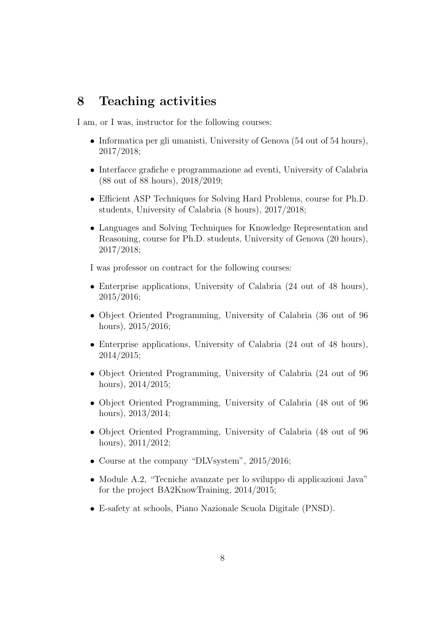### 8 Teaching activities

I am, or I was, instructor for the following courses:

- Informatica per gli umanisti, University of Genova (54 out of 54 hours), 2017/2018;
- Interfacce grafiche e programmazione ad eventi, University of Calabria (88 out of 88 hours), 2018/2019;
- Efficient ASP Techniques for Solving Hard Problems, course for Ph.D. students, University of Calabria (8 hours), 2017/2018;
- Languages and Solving Techniques for Knowledge Representation and Reasoning, course for Ph.D. students, University of Genova (20 hours), 2017/2018;

I was professor on contract for the following courses:

- Enterprise applications, University of Calabria (24 out of 48 hours), 2015/2016;
- Object Oriented Programming, University of Calabria (36 out of 96 hours), 2015/2016;
- Enterprise applications, University of Calabria (24 out of 48 hours), 2014/2015;
- Object Oriented Programming, University of Calabria (24 out of 96 hours), 2014/2015;
- Object Oriented Programming, University of Calabria (48 out of 96 hours), 2013/2014;
- Object Oriented Programming, University of Calabria (48 out of 96 hours), 2011/2012;
- Course at the company "DLVsystem", 2015/2016;
- Module A.2, "Tecniche avanzate per lo sviluppo di applicazioni Java" for the project BA2KnowTraining, 2014/2015;
- E-safety at schools, Piano Nazionale Scuola Digitale (PNSD).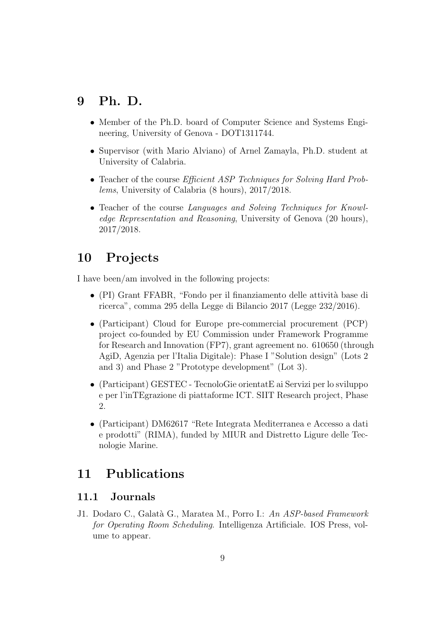## 9 Ph. D.

- Member of the Ph.D. board of Computer Science and Systems Engineering, University of Genova - DOT1311744.
- Supervisor (with Mario Alviano) of Arnel Zamayla, Ph.D. student at University of Calabria.
- Teacher of the course *Efficient ASP Techniques for Solving Hard Prob*lems, University of Calabria (8 hours), 2017/2018.
- Teacher of the course Languages and Solving Techniques for Knowledge Representation and Reasoning, University of Genova (20 hours), 2017/2018.

## 10 Projects

I have been/am involved in the following projects:

- (PI) Grant FFABR, "Fondo per il finanziamento delle attività base di ricerca", comma 295 della Legge di Bilancio 2017 (Legge 232/2016).
- (Participant) Cloud for Europe pre-commercial procurement (PCP) project co-founded by EU Commission under Framework Programme for Research and Innovation (FP7), grant agreement no. 610650 (through AgiD, Agenzia per l'Italia Digitale): Phase I "Solution design" (Lots 2 and 3) and Phase 2 "Prototype development" (Lot 3).
- (Participant) GESTEC TecnoloGie orientatE ai Servizi per lo sviluppo e per l'inTEgrazione di piattaforme ICT. SIIT Research project, Phase 2.
- (Participant) DM62617 "Rete Integrata Mediterranea e Accesso a dati e prodotti" (RIMA), funded by MIUR and Distretto Ligure delle Tecnologie Marine.

## 11 Publications

### 11.1 Journals

J1. Dodaro C., Galatà G., Maratea M., Porro I.: An ASP-based Framework for Operating Room Scheduling. Intelligenza Artificiale. IOS Press, volume to appear.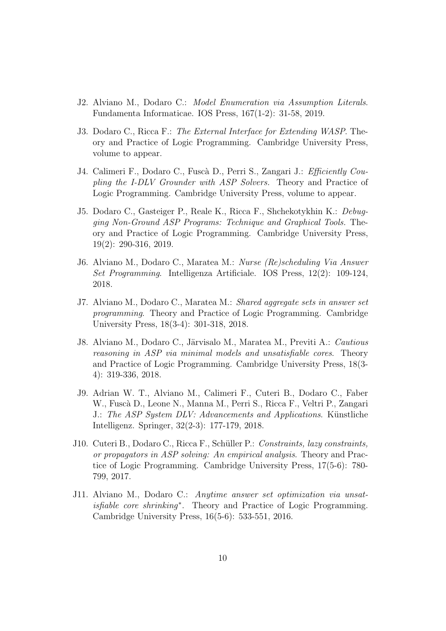- J2. Alviano M., Dodaro C.: Model Enumeration via Assumption Literals. Fundamenta Informaticae. IOS Press, 167(1-2): 31-58, 2019.
- J3. Dodaro C., Ricca F.: The External Interface for Extending WASP. Theory and Practice of Logic Programming. Cambridge University Press, volume to appear.
- J4. Calimeri F., Dodaro C., Fuscà D., Perri S., Zangari J.: Efficiently Coupling the I-DLV Grounder with ASP Solvers. Theory and Practice of Logic Programming. Cambridge University Press, volume to appear.
- J5. Dodaro C., Gasteiger P., Reale K., Ricca F., Shchekotykhin K.: Debugging Non-Ground ASP Programs: Technique and Graphical Tools. Theory and Practice of Logic Programming. Cambridge University Press, 19(2): 290-316, 2019.
- J6. Alviano M., Dodaro C., Maratea M.: Nurse (Re)scheduling Via Answer Set Programming. Intelligenza Artificiale. IOS Press, 12(2): 109-124, 2018.
- J7. Alviano M., Dodaro C., Maratea M.: Shared aggregate sets in answer set programming. Theory and Practice of Logic Programming. Cambridge University Press, 18(3-4): 301-318, 2018.
- J8. Alviano M., Dodaro C., Järvisalo M., Maratea M., Previti A.: Cautious reasoning in ASP via minimal models and unsatisfiable cores. Theory and Practice of Logic Programming. Cambridge University Press, 18(3- 4): 319-336, 2018.
- J9. Adrian W. T., Alviano M., Calimeri F., Cuteri B., Dodaro C., Faber W., Fusc`a D., Leone N., Manna M., Perri S., Ricca F., Veltri P., Zangari J.: The ASP System DLV: Advancements and Applications. Künstliche Intelligenz. Springer, 32(2-3): 177-179, 2018.
- J10. Cuteri B., Dodaro C., Ricca F., Schüller P.: Constraints, lazy constraints, or propagators in ASP solving: An empirical analysis. Theory and Practice of Logic Programming. Cambridge University Press, 17(5-6): 780- 799, 2017.
- J11. Alviano M., Dodaro C.: Anytime answer set optimization via unsatisfiable core shrinking<sup>\*</sup>. Theory and Practice of Logic Programming. Cambridge University Press, 16(5-6): 533-551, 2016.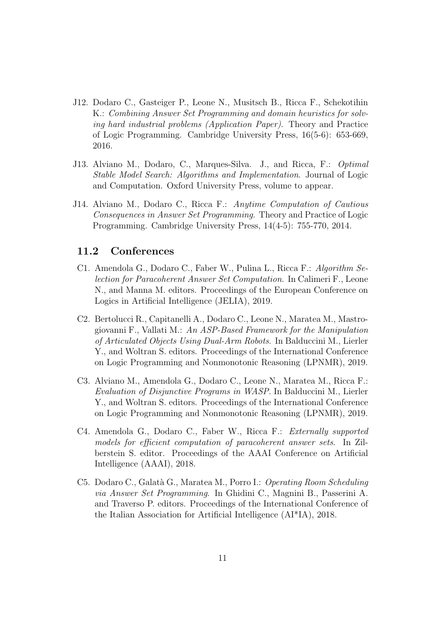- J12. Dodaro C., Gasteiger P., Leone N., Musitsch B., Ricca F., Schekotihin K.: Combining Answer Set Programming and domain heuristics for solving hard industrial problems (Application Paper). Theory and Practice of Logic Programming. Cambridge University Press, 16(5-6): 653-669, 2016.
- J13. Alviano M., Dodaro, C., Marques-Silva. J., and Ricca, F.: Optimal Stable Model Search: Algorithms and Implementation. Journal of Logic and Computation. Oxford University Press, volume to appear.
- J14. Alviano M., Dodaro C., Ricca F.: Anytime Computation of Cautious Consequences in Answer Set Programming. Theory and Practice of Logic Programming. Cambridge University Press, 14(4-5): 755-770, 2014.

#### 11.2 Conferences

- C1. Amendola G., Dodaro C., Faber W., Pulina L., Ricca F.: Algorithm Selection for Paracoherent Answer Set Computation. In Calimeri F., Leone N., and Manna M. editors. Proceedings of the European Conference on Logics in Artificial Intelligence (JELIA), 2019.
- C2. Bertolucci R., Capitanelli A., Dodaro C., Leone N., Maratea M., Mastrogiovanni F., Vallati M.: An ASP-Based Framework for the Manipulation of Articulated Objects Using Dual-Arm Robots. In Balduccini M., Lierler Y., and Woltran S. editors. Proceedings of the International Conference on Logic Programming and Nonmonotonic Reasoning (LPNMR), 2019.
- C3. Alviano M., Amendola G., Dodaro C., Leone N., Maratea M., Ricca F.: Evaluation of Disjunctive Programs in WASP. In Balduccini M., Lierler Y., and Woltran S. editors. Proceedings of the International Conference on Logic Programming and Nonmonotonic Reasoning (LPNMR), 2019.
- C4. Amendola G., Dodaro C., Faber W., Ricca F.: Externally supported models for efficient computation of paracoherent answer sets. In Zilberstein S. editor. Proceedings of the AAAI Conference on Artificial Intelligence (AAAI), 2018.
- C5. Dodaro C., Galatà G., Maratea M., Porro I.: Operating Room Scheduling via Answer Set Programming. In Ghidini C., Magnini B., Passerini A. and Traverso P. editors. Proceedings of the International Conference of the Italian Association for Artificial Intelligence (AI\*IA), 2018.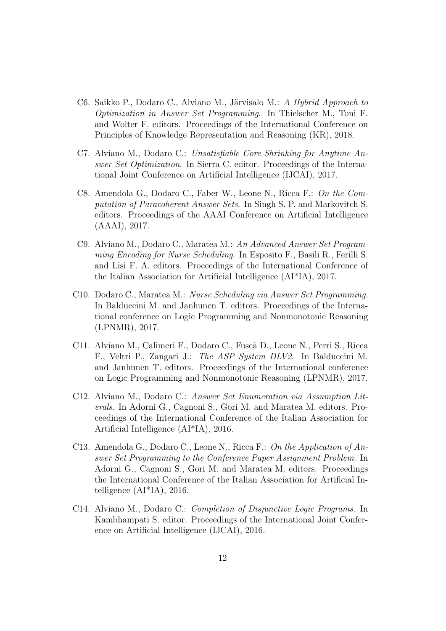- C6. Saikko P., Dodaro C., Alviano M., Järvisalo M.: A Hybrid Approach to Optimization in Answer Set Programming. In Thielscher M., Toni F. and Wolter F. editors. Proceedings of the International Conference on Principles of Knowledge Representation and Reasoning (KR), 2018.
- C7. Alviano M., Dodaro C.: Unsatisfiable Core Shrinking for Anytime Answer Set Optimization. In Sierra C. editor. Proceedings of the International Joint Conference on Artificial Intelligence (IJCAI), 2017.
- C8. Amendola G., Dodaro C., Faber W., Leone N., Ricca F.: On the Computation of Paracoherent Answer Sets. In Singh S. P. and Markovitch S. editors. Proceedings of the AAAI Conference on Artificial Intelligence (AAAI), 2017.
- C9. Alviano M., Dodaro C., Maratea M.: An Advanced Answer Set Programming Encoding for Nurse Scheduling. In Esposito F., Basili R., Ferilli S. and Lisi F. A. editors. Proceedings of the International Conference of the Italian Association for Artificial Intelligence (AI\*IA), 2017.
- C10. Dodaro C., Maratea M.: Nurse Scheduling via Answer Set Programming. In Balduccini M. and Janhunen T. editors. Proceedings of the International conference on Logic Programming and Nonmonotonic Reasoning (LPNMR), 2017.
- C11. Alviano M., Calimeri F., Dodaro C., Fusc`a D., Leone N., Perri S., Ricca F., Veltri P., Zangari J.: The ASP System DLV2. In Balduccini M. and Janhunen T. editors. Proceedings of the International conference on Logic Programming and Nonmonotonic Reasoning (LPNMR), 2017.
- C12. Alviano M., Dodaro C.: Answer Set Enumeration via Assumption Literals. In Adorni G., Cagnoni S., Gori M. and Maratea M. editors. Proceedings of the International Conference of the Italian Association for Artificial Intelligence (AI\*IA), 2016.
- C13. Amendola G., Dodaro C., Leone N., Ricca F.: On the Application of Answer Set Programming to the Conference Paper Assignment Problem. In Adorni G., Cagnoni S., Gori M. and Maratea M. editors. Proceedings the International Conference of the Italian Association for Artificial Intelligence (AI\*IA), 2016.
- C14. Alviano M., Dodaro C.: Completion of Disjunctive Logic Programs. In Kambhampati S. editor. Proceedings of the International Joint Conference on Artificial Intelligence (IJCAI), 2016.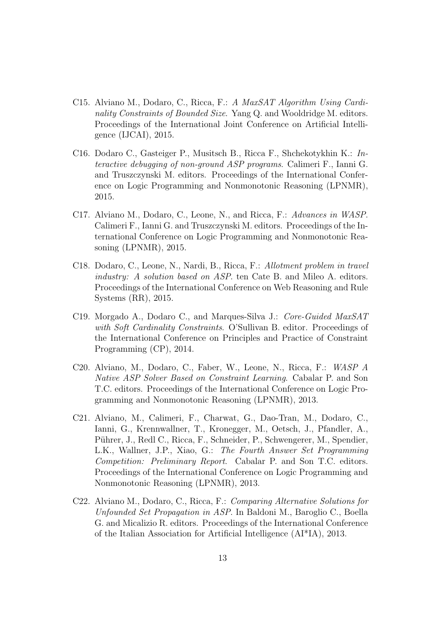- C15. Alviano M., Dodaro, C., Ricca, F.: A MaxSAT Algorithm Using Cardinality Constraints of Bounded Size. Yang Q. and Wooldridge M. editors. Proceedings of the International Joint Conference on Artificial Intelligence (IJCAI), 2015.
- C16. Dodaro C., Gasteiger P., Musitsch B., Ricca F., Shchekotykhin K.: Interactive debugging of non-ground ASP programs. Calimeri F., Ianni G. and Truszczynski M. editors. Proceedings of the International Conference on Logic Programming and Nonmonotonic Reasoning (LPNMR), 2015.
- C17. Alviano M., Dodaro, C., Leone, N., and Ricca, F.: Advances in WASP. Calimeri F., Ianni G. and Truszczynski M. editors. Proceedings of the International Conference on Logic Programming and Nonmonotonic Reasoning (LPNMR), 2015.
- C18. Dodaro, C., Leone, N., Nardi, B., Ricca, F.: Allotment problem in travel industry: A solution based on ASP. ten Cate B. and Mileo A. editors. Proceedings of the International Conference on Web Reasoning and Rule Systems (RR), 2015.
- C19. Morgado A., Dodaro C., and Marques-Silva J.: Core-Guided MaxSAT with Soft Cardinality Constraints. O'Sullivan B. editor. Proceedings of the International Conference on Principles and Practice of Constraint Programming (CP), 2014.
- C20. Alviano, M., Dodaro, C., Faber, W., Leone, N., Ricca, F.: WASP A Native ASP Solver Based on Constraint Learning. Cabalar P. and Son T.C. editors. Proceedings of the International Conference on Logic Programming and Nonmonotonic Reasoning (LPNMR), 2013.
- C21. Alviano, M., Calimeri, F., Charwat, G., Dao-Tran, M., Dodaro, C., Ianni, G., Krennwallner, T., Kronegger, M., Oetsch, J., Pfandler, A., Pührer, J., Redl C., Ricca, F., Schneider, P., Schwengerer, M., Spendier, L.K., Wallner, J.P., Xiao, G.: The Fourth Answer Set Programming Competition: Preliminary Report. Cabalar P. and Son T.C. editors. Proceedings of the International Conference on Logic Programming and Nonmonotonic Reasoning (LPNMR), 2013.
- C22. Alviano M., Dodaro, C., Ricca, F.: Comparing Alternative Solutions for Unfounded Set Propagation in ASP. In Baldoni M., Baroglio C., Boella G. and Micalizio R. editors. Proceedings of the International Conference of the Italian Association for Artificial Intelligence (AI\*IA), 2013.